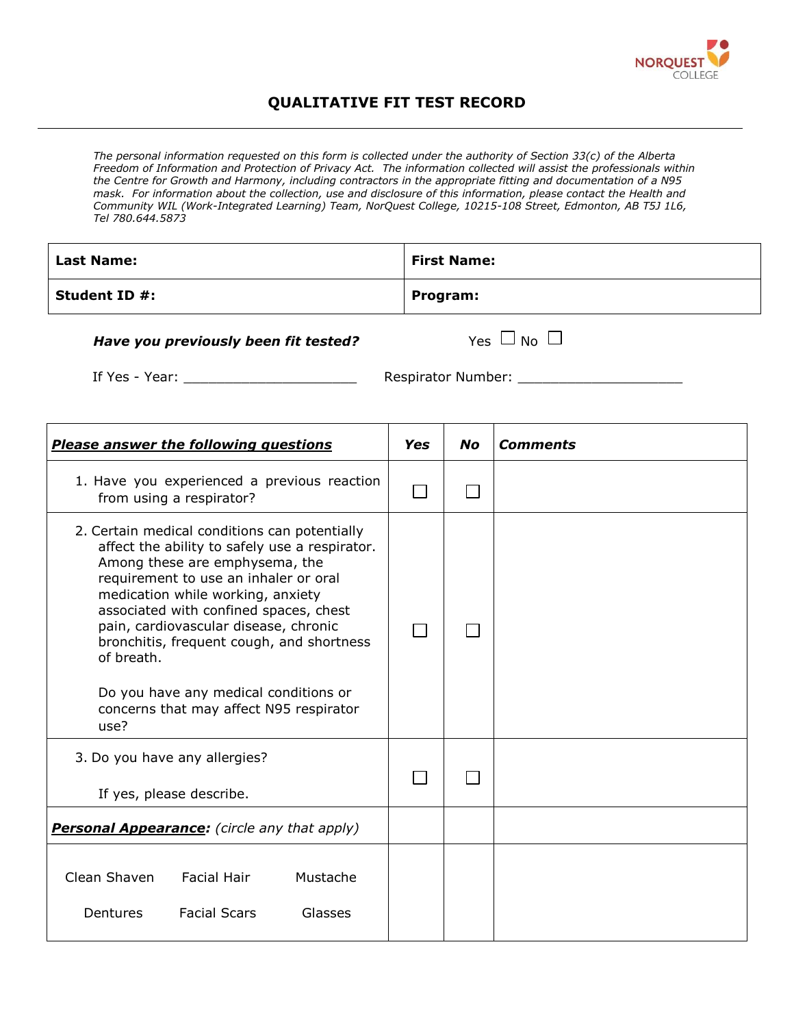

## **QUALITATIVE FIT TEST RECORD**

*The personal information requested on this form is collected under the authority of Section 33(c) of the Alberta Freedom of Information and Protection of Privacy Act. The information collected will assist the professionals within the Centre for Growth and Harmony, including contractors in the appropriate fitting and documentation of a N95 mask. For information about the collection, use and disclosure of this information, please contact the Health and Community WIL (Work-Integrated Learning) Team, NorQuest College, 10215-108 Street, Edmonton, AB T5J 1L6, Tel 780.644.5873*

| <b>Last Name:</b>    | <b>First Name:</b> |
|----------------------|--------------------|
| <b>Student ID #:</b> | Program:           |

## *Have you previously been fit tested?*  $Yes \Box No \Box$

If Yes - Year: \_\_\_\_\_\_\_\_\_\_\_\_\_\_\_\_\_\_\_\_\_ Respirator Number: \_\_\_\_\_\_\_\_\_\_\_\_\_\_\_\_\_\_\_\_

| <b>Please answer the following questions</b>                                                                                                                                                                                                                                                                                                                                                                                                              | Yes | <b>No</b> | <b>Comments</b> |
|-----------------------------------------------------------------------------------------------------------------------------------------------------------------------------------------------------------------------------------------------------------------------------------------------------------------------------------------------------------------------------------------------------------------------------------------------------------|-----|-----------|-----------------|
| 1. Have you experienced a previous reaction<br>from using a respirator?                                                                                                                                                                                                                                                                                                                                                                                   |     |           |                 |
| 2. Certain medical conditions can potentially<br>affect the ability to safely use a respirator.<br>Among these are emphysema, the<br>requirement to use an inhaler or oral<br>medication while working, anxiety<br>associated with confined spaces, chest<br>pain, cardiovascular disease, chronic<br>bronchitis, frequent cough, and shortness<br>of breath.<br>Do you have any medical conditions or<br>concerns that may affect N95 respirator<br>use? |     |           |                 |
| 3. Do you have any allergies?<br>If yes, please describe.                                                                                                                                                                                                                                                                                                                                                                                                 |     |           |                 |
| <b>Personal Appearance:</b> (circle any that apply)                                                                                                                                                                                                                                                                                                                                                                                                       |     |           |                 |
| Clean Shaven<br><b>Facial Hair</b><br>Mustache<br><b>Facial Scars</b><br>Glasses<br><b>Dentures</b>                                                                                                                                                                                                                                                                                                                                                       |     |           |                 |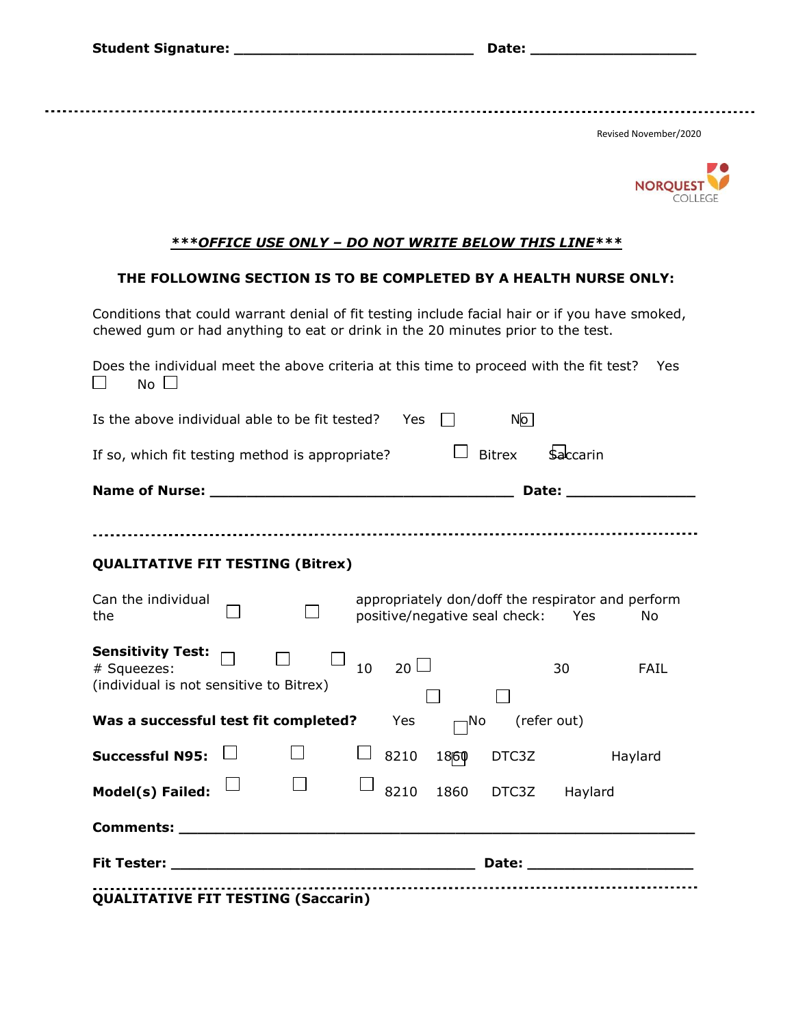**Student Signature: \_\_\_\_\_\_\_\_\_\_\_\_\_\_\_\_\_\_\_\_\_\_\_\_\_\_ Date: \_\_\_\_\_\_\_\_\_\_\_\_\_\_\_\_\_\_** 

Revised November/2020



## *\*\*\*OFFICE USE ONLY – DO NOT WRITE BELOW THIS LINE\*\*\**

## **THE FOLLOWING SECTION IS TO BE COMPLETED BY A HEALTH NURSE ONLY:**

Conditions that could warrant denial of fit testing include facial hair or if you have smoked, chewed gum or had anything to eat or drink in the 20 minutes prior to the test.

| Does the individual meet the above criteria at this time to proceed with the fit test?<br>$No$ $\Box$ |  |    |           |      |                                   |                 | Yes                                                                                                                                                                                                                                  |
|-------------------------------------------------------------------------------------------------------|--|----|-----------|------|-----------------------------------|-----------------|--------------------------------------------------------------------------------------------------------------------------------------------------------------------------------------------------------------------------------------|
| Is the above individual able to be fit tested?                                                        |  |    | Yes       |      | N <sub>o</sub>                    |                 |                                                                                                                                                                                                                                      |
| If so, which fit testing method is appropriate?                                                       |  |    |           |      | <b>Bitrex</b>                     | <b>Saccarin</b> |                                                                                                                                                                                                                                      |
|                                                                                                       |  |    |           |      |                                   |                 |                                                                                                                                                                                                                                      |
|                                                                                                       |  |    |           |      |                                   |                 |                                                                                                                                                                                                                                      |
| <b>QUALITATIVE FIT TESTING (Bitrex)</b>                                                               |  |    |           |      |                                   |                 |                                                                                                                                                                                                                                      |
| Can the individual<br>the                                                                             |  |    |           |      | positive/negative seal check: Yes |                 | appropriately don/doff the respirator and perform<br><b>No</b>                                                                                                                                                                       |
| Sensitivity Test: $\Box$<br># Squeezes:<br>(individual is not sensitive to Bitrex)                    |  | 10 | $20 \Box$ |      |                                   | 30              | FAIL                                                                                                                                                                                                                                 |
| Was a successful test fit completed?                                                                  |  |    | Yes       | ⊣No  |                                   | (refer out)     |                                                                                                                                                                                                                                      |
| <b>Successful N95:</b>                                                                                |  |    | 8210      | 1860 | DTC3Z                             |                 | Haylard                                                                                                                                                                                                                              |
| Model(s) Failed:                                                                                      |  |    | 8210      |      | 1860 DTC3Z Haylard                |                 |                                                                                                                                                                                                                                      |
|                                                                                                       |  |    |           |      |                                   |                 |                                                                                                                                                                                                                                      |
|                                                                                                       |  |    |           |      |                                   |                 | Date: <u>with a series of the series of the series of the series of the series of the series of the series of the series of the series of the series of the series of the series of the series of the series of the series of th</u> |
| OUAL ITATIVE EIT TESTING (Saccarin)                                                                   |  |    |           |      |                                   |                 |                                                                                                                                                                                                                                      |

**QUALITATIVE FIT TESTING (Saccarin)**